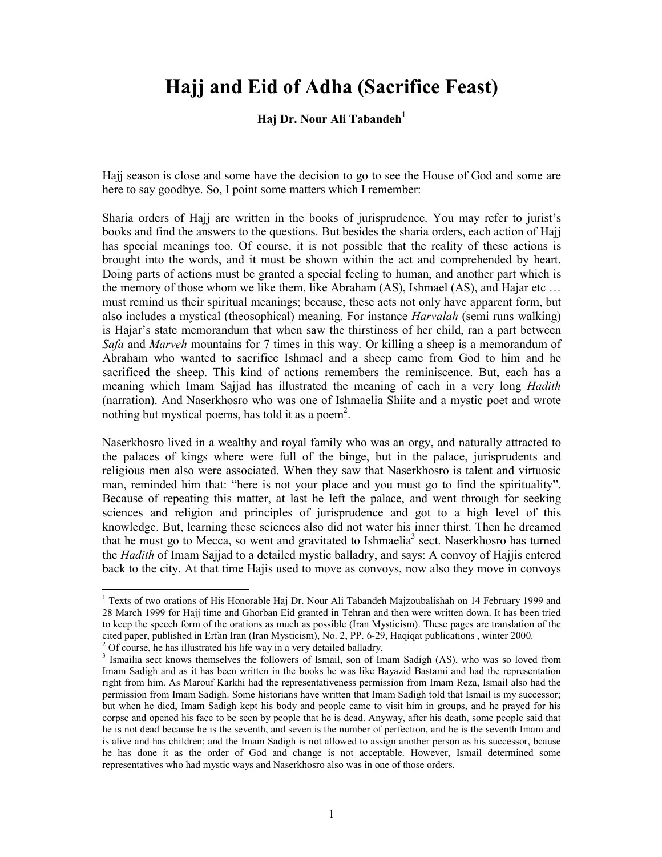## **Hajj and Eid of Adha (Sacrifice Feast)**

## **Haj Dr. Nour Ali Tabandeh**<sup>1</sup>

Hajj season is close and some have the decision to go to see the House of God and some are here to say goodbye. So, I point some matters which I remember:

Sharia orders of Hajj are written in the books of jurisprudence. You may refer to jurist's books and find the answers to the questions. But besides the sharia orders, each action of Hajj has special meanings too. Of course, it is not possible that the reality of these actions is brought into the words, and it must be shown within the act and comprehended by heart. Doing parts of actions must be granted a special feeling to human, and another part which is the memory of those whom we like them, like Abraham (AS), Ishmael (AS), and Hajar etc … must remind us their spiritual meanings; because, these acts not only have apparent form, but also includes a mystical (theosophical) meaning. For instance *Harvalah* (semi runs walking) is Hajar's state memorandum that when saw the thirstiness of her child, ran a part between *Safa* and *Marveh* mountains for 7 times in this way. Or killing a sheep is a memorandum of Abraham who wanted to sacrifice Ishmael and a sheep came from God to him and he sacrificed the sheep. This kind of actions remembers the reminiscence. But, each has a meaning which Imam Sajjad has illustrated the meaning of each in a very long *Hadith* (narration). And Naserkhosro who was one of Ishmaelia Shiite and a mystic poet and wrote nothing but mystical poems, has told it as a poem<sup>2</sup>.

Naserkhosro lived in a wealthy and royal family who was an orgy, and naturally attracted to the palaces of kings where were full of the binge, but in the palace, jurisprudents and religious men also were associated. When they saw that Naserkhosro is talent and virtuosic man, reminded him that: "here is not your place and you must go to find the spirituality". Because of repeating this matter, at last he left the palace, and went through for seeking sciences and religion and principles of jurisprudence and got to a high level of this knowledge. But, learning these sciences also did not water his inner thirst. Then he dreamed that he must go to Mecca, so went and gravitated to Ishmaelia<sup>3</sup> sect. Naserkhosro has turned the *Hadith* of Imam Sajjad to a detailed mystic balladry, and says: A convoy of Hajjis entered back to the city. At that time Hajis used to move as convoys, now also they move in convoys

<sup>&</sup>lt;sup>1</sup> Texts of two orations of His Honorable Haj Dr. Nour Ali Tabandeh Majzoubalishah on 14 February 1999 and 28 March 1999 for Hajj time and Ghorban Eid granted in Tehran and then were written down. It has been tried to keep the speech form of the orations as much as possible (Iran Mysticism). These pages are translation of the cited paper, published in Erfan Iran (Iran Mysticism), No. 2, PP. 6-29, Haqiqat publications , winter 2000.

 $2^2$  Of course, he has illustrated his life way in a very detailed balladry.

<sup>&</sup>lt;sup>3</sup> Ismailia sect knows themselves the followers of Ismail, son of Imam Sadigh (AS), who was so loved from Imam Sadigh and as it has been written in the books he was like Bayazid Bastami and had the representation right from him. As Marouf Karkhi had the representativeness permission from Imam Reza, Ismail also had the permission from Imam Sadigh. Some historians have written that Imam Sadigh told that Ismail is my successor; but when he died, Imam Sadigh kept his body and people came to visit him in groups, and he prayed for his corpse and opened his face to be seen by people that he is dead. Anyway, after his death, some people said that he is not dead because he is the seventh, and seven is the number of perfection, and he is the seventh Imam and is alive and has children; and the Imam Sadigh is not allowed to assign another person as his successor, bcause he has done it as the order of God and change is not acceptable. However, Ismail determined some representatives who had mystic ways and Naserkhosro also was in one of those orders.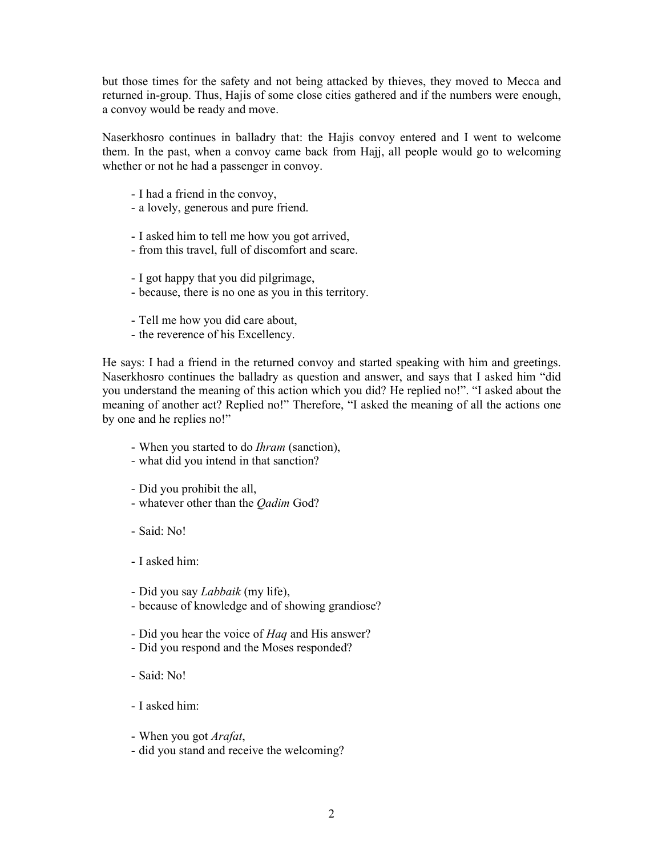but those times for the safety and not being attacked by thieves, they moved to Mecca and returned in-group. Thus, Hajis of some close cities gathered and if the numbers were enough, a convoy would be ready and move.

Naserkhosro continues in balladry that: the Hajis convoy entered and I went to welcome them. In the past, when a convoy came back from Hajj, all people would go to welcoming whether or not he had a passenger in convoy.

- I had a friend in the convoy,
- a lovely, generous and pure friend.
- I asked him to tell me how you got arrived,
- from this travel, full of discomfort and scare.
- I got happy that you did pilgrimage,
- because, there is no one as you in this territory.
- Tell me how you did care about,
- the reverence of his Excellency.

He says: I had a friend in the returned convoy and started speaking with him and greetings. Naserkhosro continues the balladry as question and answer, and says that I asked him "did you understand the meaning of this action which you did? He replied no!". "I asked about the meaning of another act? Replied no!" Therefore, "I asked the meaning of all the actions one by one and he replies no!"

- When you started to do *Ihram* (sanction),
- what did you intend in that sanction?
- Did you prohibit the all,
- whatever other than the *Qadim* God?
- Said: No!
- I asked him:
- Did you say *Labbaik* (my life),
- because of knowledge and of showing grandiose?
- Did you hear the voice of *Haq* and His answer?
- Did you respond and the Moses responded?
- Said: No!
- I asked him:
- When you got *Arafat*,
- did you stand and receive the welcoming?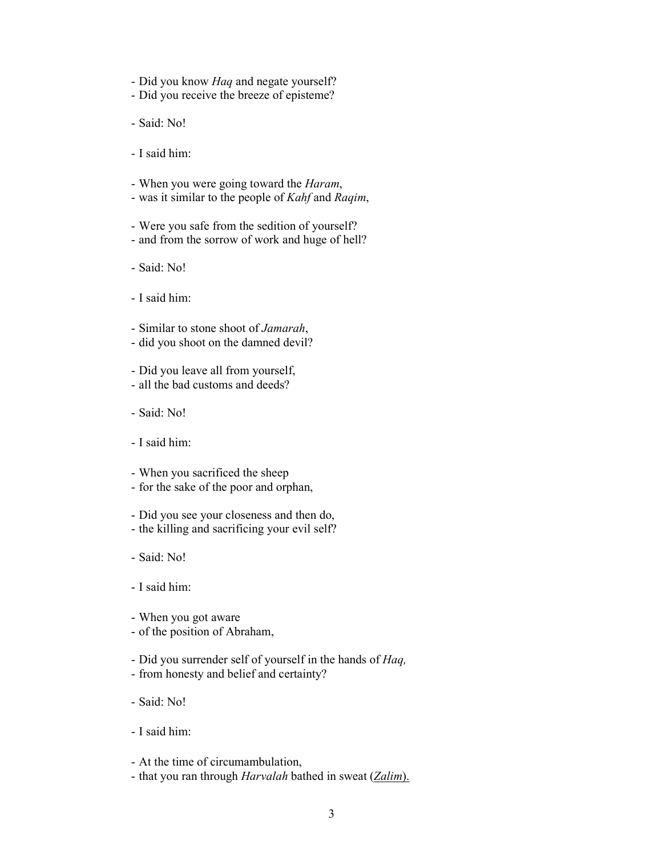- Did you know *Haq* and negate yourself?
- Did you receive the breeze of episteme?
- Said: No!
- I said him:
- When you were going toward the *Haram*,
- was it similar to the people of *Kahf* and *Raqim*,
- Were you safe from the sedition of yourself?
- and from the sorrow of work and huge of hell?
- Said: No!
- I said him:
- Similar to stone shoot of *Jamarah*,
- did you shoot on the damned devil?
- Did you leave all from yourself,
- all the bad customs and deeds?
- Said: No!
- I said him:
- When you sacrificed the sheep
- for the sake of the poor and orphan,
- Did you see your closeness and then do,
- the killing and sacrificing your evil self?
- Said: No!
- I said him:
- When you got aware
- of the position of Abraham,
- Did you surrender self of yourself in the hands of *Haq,*
- from honesty and belief and certainty?
- Said: No!
- I said him:
- At the time of circumambulation,
- that you ran through *Harvalah* bathed in sweat (*Zalim*).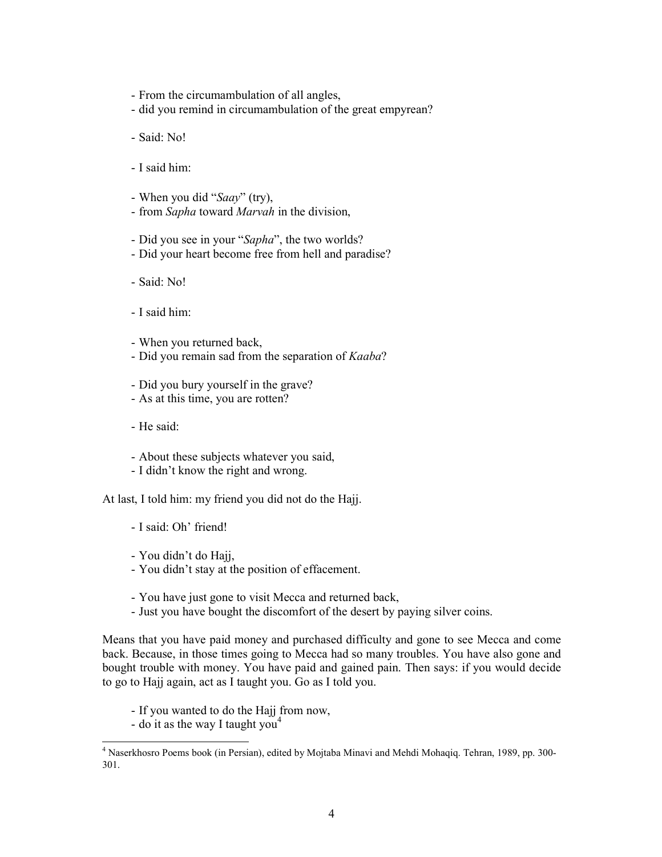- From the circumambulation of all angles,
- did you remind in circumambulation of the great empyrean?
- Said: No!
- I said him:
- When you did "*Saay*" (try),
- from *Sapha* toward *Marvah* in the division,
- Did you see in your "*Sapha*", the two worlds?
- Did your heart become free from hell and paradise?
- Said: No!
- I said him:
- When you returned back,
- Did you remain sad from the separation of *Kaaba*?
- Did you bury yourself in the grave?
- As at this time, you are rotten?
- He said:
- About these subjects whatever you said,
- I didn't know the right and wrong.

At last, I told him: my friend you did not do the Hajj.

- I said: Oh' friend!
- You didn't do Hajj,
- You didn't stay at the position of effacement.
- You have just gone to visit Mecca and returned back,
- Just you have bought the discomfort of the desert by paying silver coins.

Means that you have paid money and purchased difficulty and gone to see Mecca and come back. Because, in those times going to Mecca had so many troubles. You have also gone and bought trouble with money. You have paid and gained pain. Then says: if you would decide to go to Hajj again, act as I taught you. Go as I told you.

- If you wanted to do the Hajj from now,
- do it as the way I taught you<sup>4</sup>

<sup>&</sup>lt;sup>4</sup> Naserkhosro Poems book (in Persian), edited by Mojtaba Minavi and Mehdi Mohaqiq. Tehran, 1989, pp. 300-301.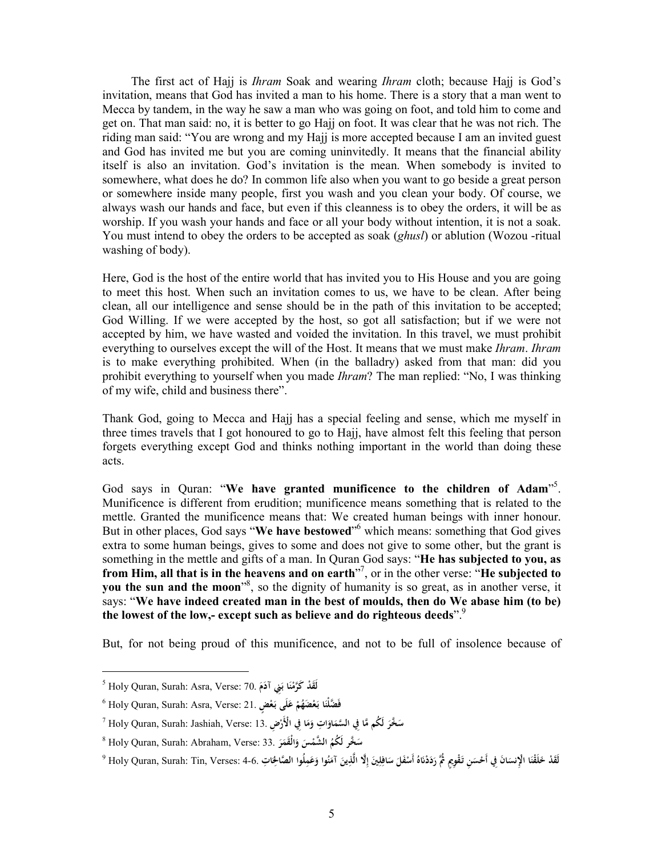The first act of Hajj is *Ihram* Soak and wearing *Ihram* cloth; because Hajj is God's invitation, means that God has invited a man to his home. There is a story that a man went to Mecca by tandem, in the way he saw a man who was going on foot, and told him to come and get on. That man said: no, it is better to go Hajj on foot. It was clear that he was not rich. The riding man said: "You are wrong and my Hajj is more accepted because I am an invited guest and God has invited me but you are coming uninvitedly. It means that the financial ability itself is also an invitation. God's invitation is the mean. When somebody is invited to somewhere, what does he do? In common life also when you want to go beside a great person or somewhere inside many people, first you wash and you clean your body. Of course, we always wash our hands and face, but even if this cleanness is to obey the orders, it will be as worship. If you wash your hands and face or all your body without intention, it is not a soak. You must intend to obey the orders to be accepted as soak (*ghusl*) or ablution (Wozou -ritual washing of body).

Here, God is the host of the entire world that has invited you to His House and you are going to meet this host. When such an invitation comes to us, we have to be clean. After being clean, all our intelligence and sense should be in the path of this invitation to be accepted; God Willing. If we were accepted by the host, so got all satisfaction; but if we were not accepted by him, we have wasted and voided the invitation. In this travel, we must prohibit everything to ourselves except the will of the Host. It means that we must make *Ihram*. *Ihram* is to make everything prohibited. When (in the balladry) asked from that man: did you prohibit everything to yourself when you made *Ihram*? The man replied: "No, I was thinking of my wife, child and business there".

Thank God, going to Mecca and Hajj has a special feeling and sense, which me myself in three times travels that I got honoured to go to Hajj, have almost felt this feeling that person forgets everything except God and thinks nothing important in the world than doing these acts.

God says in Quran: "**We have granted munificence to the children of Adam**" 5 . Munificence is different from erudition; munificence means something that is related to the mettle. Granted the munificence means that: We created human beings with inner honour. But in other places, God says "**We have bestowed**" <sup>6</sup> which means: something that God gives extra to some human beings, gives to some and does not give to some other, but the grant is something in the mettle and gifts of a man. In Quran God says: "**He has subjected to you, as from Him, all that is in the heavens and on earth**" 7 , or in the other verse: "**He subjected to you the sun and the moon<sup>38</sup>, so the dignity of humanity is so great, as in another verse, it** says: "**We have indeed created man in the best of moulds, then do We abase him (to be) the lowest of the low,- except such as believe and do righteous deeds**".<sup>9</sup>

But, for not being proud of this munificence, and not to be full of insolence because of

<sup>5</sup> Holy Quran, Surah: Asra, Verse: 70. **ا دْ لََق ن ِني َكَّرم َم آد َ ْ ُ ب َ**

<sup>6</sup> Holy Quran, Surah: Asra, Verse: 21. **ا فَ َّضْلن ُم ْ َضه ع بـ لَى ْ ع ٍض َ ع بـ َ ْ َ َ**

 $^7$  Holy Quran, Surah: Jashiah, Verse: 13. أَفِي الأَرْضِ 13. اللَّهُ Holy Quran, Surah: Jashiah, Verse: 13. أَ **َ َ َ ْ**

<sup>8</sup> Holy Quran, Surah: Abraham, Verse: 33. **َّخر ُ س لَ ُكم ْس َّ الشم ر الَْقم و َ َ َ َ َ**

لَقَدْ خَلَقْنَا الْإِنسَانَ فِي أَحْسَنِ تَقْوِيمٍ ثُمَّ رَدَدْنَاهُ أَسْفَلَ سَافِلِينَ إِلَّا الَّذِينَ آمَنُوا وَعَمِلُوا الصَّالِحَاتِ .4-6. Holy Quran, Surah: Tin, Verses: 4-6 ° **َ َ َ َ َ ِ ِ َ َ َ َ**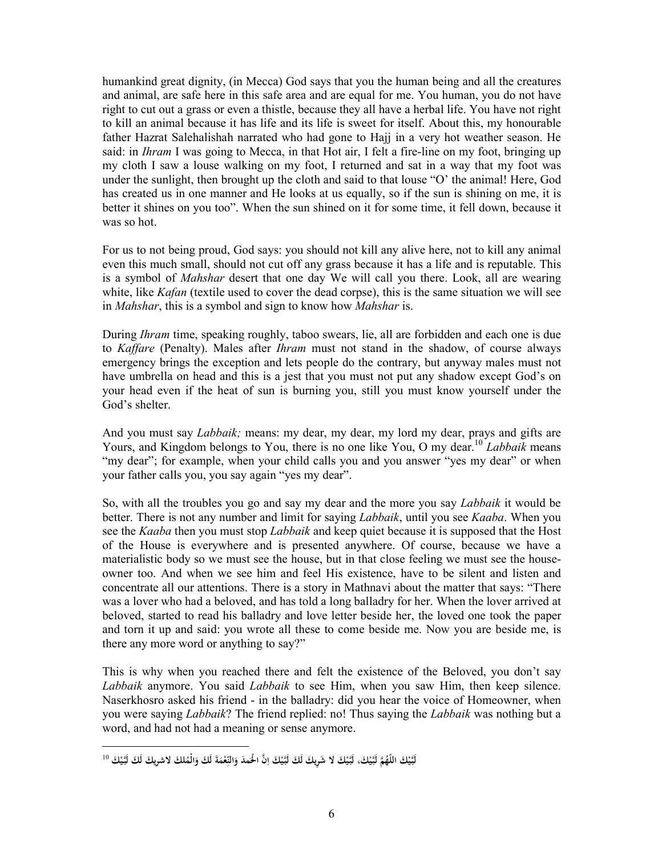humankind great dignity, (in Mecca) God says that you the human being and all the creatures and animal, are safe here in this safe area and are equal for me. You human, you do not have right to cut out a grass or even a thistle, because they all have a herbal life. You have not right to kill an animal because it has life and its life is sweet for itself. About this, my honourable father Hazrat Salehalishah narrated who had gone to Hajj in a very hot weather season. He said: in *Ihram* I was going to Mecca, in that Hot air, I felt a fire-line on my foot, bringing up my cloth I saw a louse walking on my foot, I returned and sat in a way that my foot was under the sunlight, then brought up the cloth and said to that louse "O' the animal! Here, God has created us in one manner and He looks at us equally, so if the sun is shining on me, it is better it shines on you too". When the sun shined on it for some time, it fell down, because it was so hot.

For us to not being proud, God says: you should not kill any alive here, not to kill any animal even this much small, should not cut off any grass because it has a life and is reputable. This is a symbol of *Mahshar* desert that one day We will call you there. Look, all are wearing white, like *Kafan* (textile used to cover the dead corpse), this is the same situation we will see in *Mahshar*, this is a symbol and sign to know how *Mahshar* is.

During *Ihram* time, speaking roughly, taboo swears, lie, all are forbidden and each one is due to *Kaffare* (Penalty). Males after *Ihram* must not stand in the shadow, of course always emergency brings the exception and lets people do the contrary, but anyway males must not have umbrella on head and this is a jest that you must not put any shadow except God's on your head even if the heat of sun is burning you, still you must know yourself under the God's shelter.

And you must say *Labbaik;* means: my dear, my dear, my lord my dear, prays and gifts are Yours, and Kingdom belongs to You, there is no one like You, O my dear.<sup>10</sup> *Labbaik* means "my dear"; for example, when your child calls you and you answer "yes my dear" or when your father calls you, you say again "yes my dear".

So, with all the troubles you go and say my dear and the more you say *Labbaik* it would be better. There is not any number and limit for saying *Labbaik*, until you see *Kaaba*. When you see the *Kaaba* then you must stop *Labbaik* and keep quiet because it is supposed that the Host of the House is everywhere and is presented anywhere. Of course, because we have a materialistic body so we must see the house, but in that close feeling we must see the houseowner too. And when we see him and feel His existence, have to be silent and listen and concentrate all our attentions. There is a story in Mathnavi about the matter that says: "There was a lover who had a beloved, and has told a long balladry for her. When the lover arrived at beloved, started to read his balladry and love letter beside her, the loved one took the paper and torn it up and said: you wrote all these to come beside me. Now you are beside me, is there any more word or anything to say?"

This is why when you reached there and felt the existence of the Beloved, you don't say *Labbaik* anymore. You said *Labbaik* to see Him, when you saw Him, then keep silence. Naserkhosro asked his friend - in the balladry: did you hear the voice of Homeowner, when you were saying *Labbaik*? The friend replied: no! Thus saying the *Labbaik* was nothing but a word, and had not had a meaning or sense anymore.

لَبَّيْكَ اللَّهُمَّ لَبَّيْكَ، لَبَّيْكَ لا شَرِيكَ لَكَ لَبَّيْكَ اِنَّ الْحُمدَ وَالنِّعْمَةَ لَكَ وَالْمُلكَ لاشريكَ لَكَ لَبَّيْكَ <sup>10</sup> **َ َ َ ِ َ ِ ا**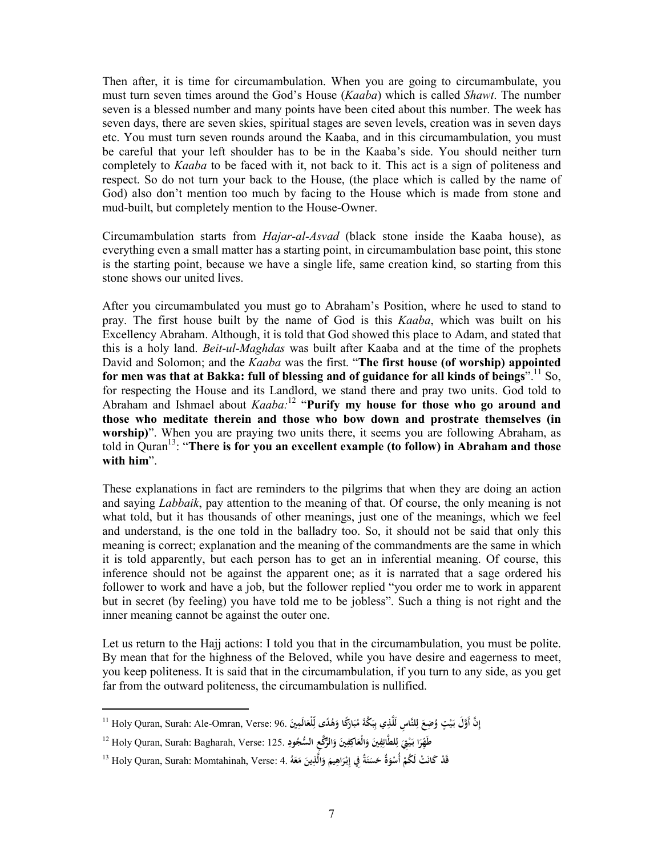Then after, it is time for circumambulation. When you are going to circumambulate, you must turn seven times around the God's House (*Kaaba*) which is called *Shawt*. The number seven is a blessed number and many points have been cited about this number. The week has seven days, there are seven skies, spiritual stages are seven levels, creation was in seven days etc. You must turn seven rounds around the Kaaba, and in this circumambulation, you must be careful that your left shoulder has to be in the Kaaba's side. You should neither turn completely to *Kaaba* to be faced with it, not back to it. This act is a sign of politeness and respect. So do not turn your back to the House, (the place which is called by the name of God) also don't mention too much by facing to the House which is made from stone and mud-built, but completely mention to the House-Owner.

Circumambulation starts from *Hajar-al-Asvad* (black stone inside the Kaaba house), as everything even a small matter has a starting point, in circumambulation base point, this stone is the starting point, because we have a single life, same creation kind, so starting from this stone shows our united lives.

After you circumambulated you must go to Abraham's Position, where he used to stand to pray. The first house built by the name of God is this *Kaaba*, which was built on his Excellency Abraham. Although, it is told that God showed this place to Adam, and stated that this is a holy land. *Beit-ul-Maghdas* was built after Kaaba and at the time of the prophets David and Solomon; and the *Kaaba* was the first. "**The first house (of worship) appointed for men was that at Bakka: full of blessing and of guidance for all kinds of beings**".<sup>11</sup> So, for respecting the House and its Landlord, we stand there and pray two units. God told to Abraham and Ishmael about *Kaaba:*<sup>12</sup> "**Purify my house for those who go around and those who meditate therein and those who bow down and prostrate themselves (in worship**". When you are praying two units there, it seems you are following Abraham, as told in Quran<sup>13</sup>: "**There is for you an excellent example (to follow) in Abraham and those with him**".

These explanations in fact are reminders to the pilgrims that when they are doing an action and saying *Labbaik*, pay attention to the meaning of that. Of course, the only meaning is not what told, but it has thousands of other meanings, just one of the meanings, which we feel and understand, is the one told in the balladry too. So, it should not be said that only this meaning is correct; explanation and the meaning of the commandments are the same in which it is told apparently, but each person has to get an in inferential meaning. Of course, this inference should not be against the apparent one; as it is narrated that a sage ordered his follower to work and have a job, but the follower replied "you order me to work in apparent but in secret (by feeling) you have told me to be jobless". Such a thing is not right and the inner meaning cannot be against the outer one.

Let us return to the Hajj actions: I told you that in the circumambulation, you must be polite. By mean that for the highness of the Beloved, while you have desire and eagerness to meet, you keep politeness. It is said that in the circumambulation, if you turn to any side, as you get far from the outward politeness, the circumambulation is nullified.

إِنَّ أَوَّلَ بَيْتٍ وُضِعَ لِلنَّاسِ لَلَّذِي بِبَكَّةَ مُبَارَكًا وَهُدًى لِّلْعَالَمِينَ .96 Holy Quran, Surah: Ale-Omran, Verse: 96 **ْ َ َ َ ِ َ َ َ َ ِ**

طَهِّرَا بَيْقِ لِلطَّائِفِينَ وَالْعَاكِفِينَ وَالرُّكَّعِ السُّجُودِ .125 :Holy Quran, Surah: Bagharah, Verse ا **َ َ ْ َ ِ ِ ِ َ َ َ**

قَدْ كَانَتْ لَكُمْ أُسْوَةٌ حَسَنَةٌ فِي إِبْرَاهِيمَ وَالَّذِينَ مَعَهُ .Holy Quran, Surah: Momtahinah, Verse: 4 ا **ْ َ َ َ َ إ َ َ َ َ**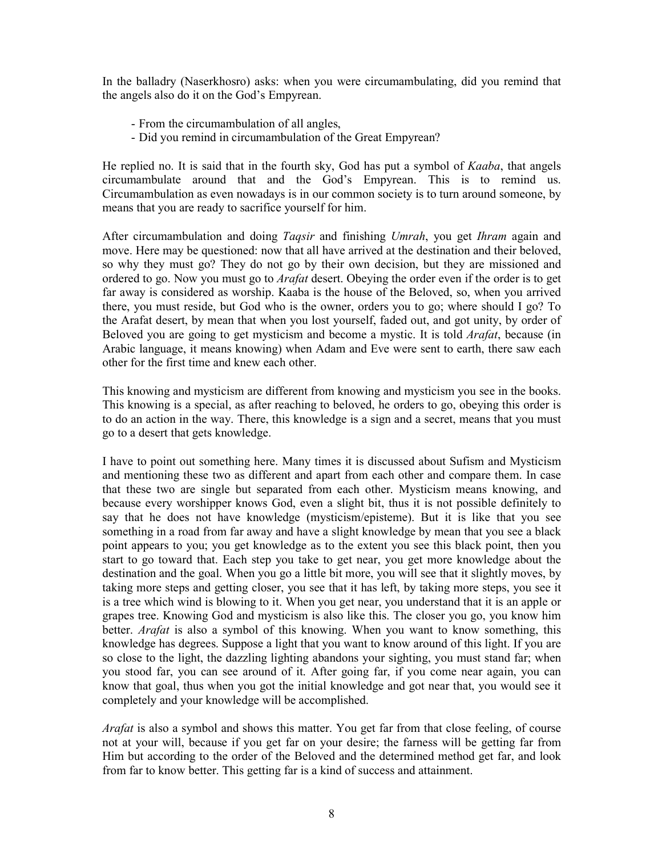In the balladry (Naserkhosro) asks: when you were circumambulating, did you remind that the angels also do it on the God's Empyrean.

- From the circumambulation of all angles,
- Did you remind in circumambulation of the Great Empyrean?

He replied no. It is said that in the fourth sky, God has put a symbol of *Kaaba*, that angels circumambulate around that and the God's Empyrean. This is to remind us. Circumambulation as even nowadays is in our common society is to turn around someone, by means that you are ready to sacrifice yourself for him.

After circumambulation and doing *Taqsir* and finishing *Umrah*, you get *Ihram* again and move. Here may be questioned: now that all have arrived at the destination and their beloved, so why they must go? They do not go by their own decision, but they are missioned and ordered to go. Now you must go to *Arafat* desert. Obeying the order even if the order is to get far away is considered as worship. Kaaba is the house of the Beloved, so, when you arrived there, you must reside, but God who is the owner, orders you to go; where should I go? To the Arafat desert, by mean that when you lost yourself, faded out, and got unity, by order of Beloved you are going to get mysticism and become a mystic. It is told *Arafat*, because (in Arabic language, it means knowing) when Adam and Eve were sent to earth, there saw each other for the first time and knew each other.

This knowing and mysticism are different from knowing and mysticism you see in the books. This knowing is a special, as after reaching to beloved, he orders to go, obeying this order is to do an action in the way. There, this knowledge is a sign and a secret, means that you must go to a desert that gets knowledge.

I have to point out something here. Many times it is discussed about Sufism and Mysticism and mentioning these two as different and apart from each other and compare them. In case that these two are single but separated from each other. Mysticism means knowing, and because every worshipper knows God, even a slight bit, thus it is not possible definitely to say that he does not have knowledge (mysticism/episteme). But it is like that you see something in a road from far away and have a slight knowledge by mean that you see a black point appears to you; you get knowledge as to the extent you see this black point, then you start to go toward that. Each step you take to get near, you get more knowledge about the destination and the goal. When you go a little bit more, you will see that it slightly moves, by taking more steps and getting closer, you see that it has left, by taking more steps, you see it is a tree which wind is blowing to it. When you get near, you understand that it is an apple or grapes tree. Knowing God and mysticism is also like this. The closer you go, you know him better. *Arafat* is also a symbol of this knowing. When you want to know something, this knowledge has degrees. Suppose a light that you want to know around of this light. If you are so close to the light, the dazzling lighting abandons your sighting, you must stand far; when you stood far, you can see around of it. After going far, if you come near again, you can know that goal, thus when you got the initial knowledge and got near that, you would see it completely and your knowledge will be accomplished.

*Arafat* is also a symbol and shows this matter. You get far from that close feeling, of course not at your will, because if you get far on your desire; the farness will be getting far from Him but according to the order of the Beloved and the determined method get far, and look from far to know better. This getting far is a kind of success and attainment.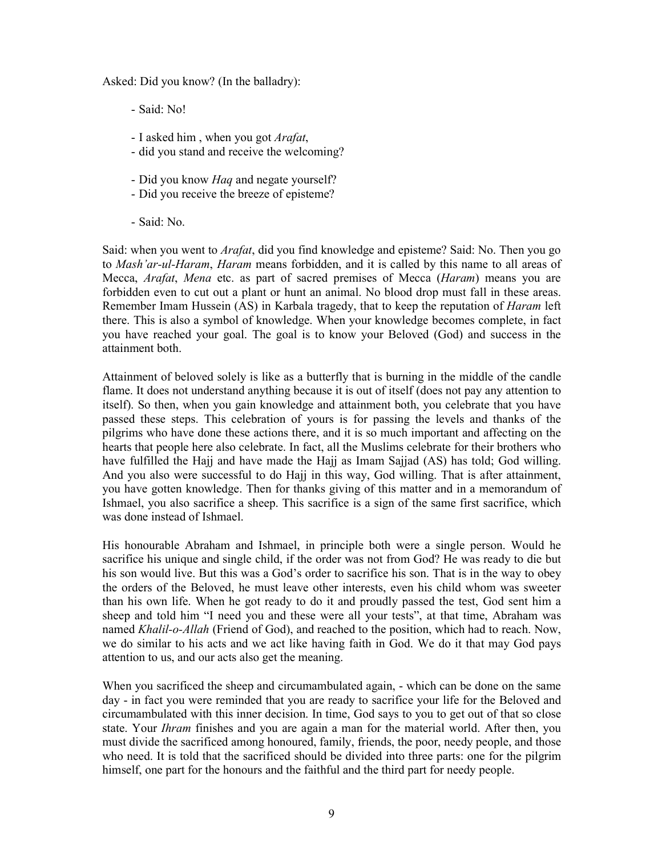Asked: Did you know? (In the balladry):

- Said: No!
- I asked him , when you got *Arafat*,
- did you stand and receive the welcoming?
- Did you know *Haq* and negate yourself?
- Did you receive the breeze of episteme?
- Said: No.

Said: when you went to *Arafat*, did you find knowledge and episteme? Said: No. Then you go to *Mash'ar-ul-Haram*, *Haram* means forbidden, and it is called by this name to all areas of Mecca, *Arafat*, *Mena* etc. as part of sacred premises of Mecca (*Haram*) means you are forbidden even to cut out a plant or hunt an animal. No blood drop must fall in these areas. Remember Imam Hussein (AS) in Karbala tragedy, that to keep the reputation of *Haram* left there. This is also a symbol of knowledge. When your knowledge becomes complete, in fact you have reached your goal. The goal is to know your Beloved (God) and success in the attainment both.

Attainment of beloved solely is like as a butterfly that is burning in the middle of the candle flame. It does not understand anything because it is out of itself (does not pay any attention to itself). So then, when you gain knowledge and attainment both, you celebrate that you have passed these steps. This celebration of yours is for passing the levels and thanks of the pilgrims who have done these actions there, and it is so much important and affecting on the hearts that people here also celebrate. In fact, all the Muslims celebrate for their brothers who have fulfilled the Hajj and have made the Hajj as Imam Sajjad (AS) has told; God willing. And you also were successful to do Hajj in this way, God willing. That is after attainment, you have gotten knowledge. Then for thanks giving of this matter and in a memorandum of Ishmael, you also sacrifice a sheep. This sacrifice is a sign of the same first sacrifice, which was done instead of Ishmael.

His honourable Abraham and Ishmael, in principle both were a single person. Would he sacrifice his unique and single child, if the order was not from God? He was ready to die but his son would live. But this was a God's order to sacrifice his son. That is in the way to obey the orders of the Beloved, he must leave other interests, even his child whom was sweeter than his own life. When he got ready to do it and proudly passed the test, God sent him a sheep and told him "I need you and these were all your tests", at that time, Abraham was named *Khalil-o-Allah* (Friend of God), and reached to the position, which had to reach. Now, we do similar to his acts and we act like having faith in God. We do it that may God pays attention to us, and our acts also get the meaning.

When you sacrificed the sheep and circumambulated again, - which can be done on the same day - in fact you were reminded that you are ready to sacrifice your life for the Beloved and circumambulated with this inner decision. In time, God says to you to get out of that so close state. Your *Ihram* finishes and you are again a man for the material world. After then, you must divide the sacrificed among honoured, family, friends, the poor, needy people, and those who need. It is told that the sacrificed should be divided into three parts: one for the pilgrim himself, one part for the honours and the faithful and the third part for needy people.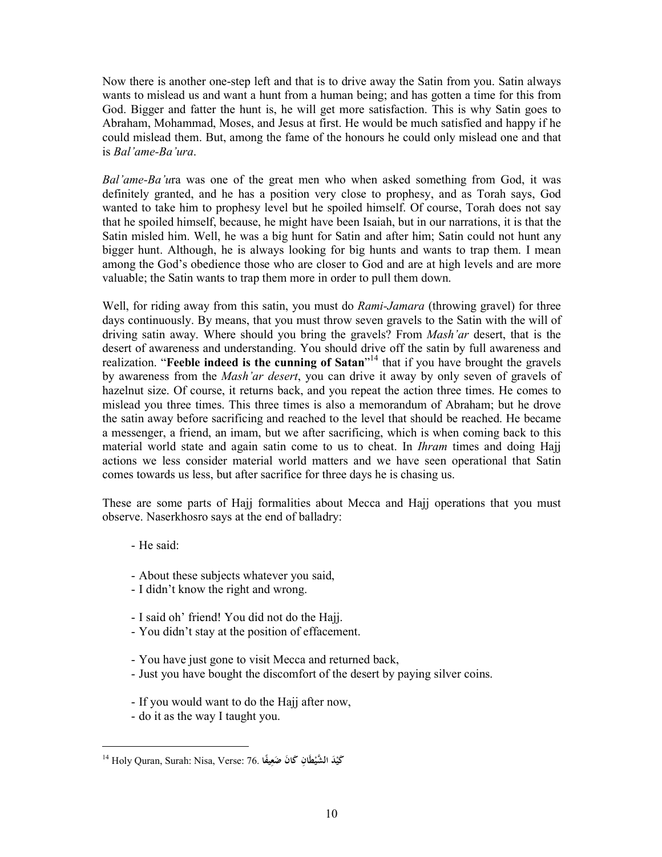Now there is another one-step left and that is to drive away the Satin from you. Satin always wants to mislead us and want a hunt from a human being; and has gotten a time for this from God. Bigger and fatter the hunt is, he will get more satisfaction. This is why Satin goes to Abraham, Mohammad, Moses, and Jesus at first. He would be much satisfied and happy if he could mislead them. But, among the fame of the honours he could only mislead one and that is *Bal'ame-Ba'ura*.

*Bal'ame-Ba'u*ra was one of the great men who when asked something from God, it was definitely granted, and he has a position very close to prophesy, and as Torah says, God wanted to take him to prophesy level but he spoiled himself. Of course, Torah does not say that he spoiled himself, because, he might have been Isaiah, but in our narrations, it is that the Satin misled him. Well, he was a big hunt for Satin and after him; Satin could not hunt any bigger hunt. Although, he is always looking for big hunts and wants to trap them. I mean among the God's obedience those who are closer to God and are at high levels and are more valuable; the Satin wants to trap them more in order to pull them down.

Well, for riding away from this satin, you must do *Rami-Jamara* (throwing gravel) for three days continuously. By means, that you must throw seven gravels to the Satin with the will of driving satin away. Where should you bring the gravels? From *Mash'ar* desert, that is the desert of awareness and understanding. You should drive off the satin by full awareness and realization. "**Feeble indeed is the cunning of Satan**" <sup>14</sup> that if you have brought the gravels by awareness from the *Mash'ar desert*, you can drive it away by only seven of gravels of hazelnut size. Of course, it returns back, and you repeat the action three times. He comes to mislead you three times. This three times is also a memorandum of Abraham; but he drove the satin away before sacrificing and reached to the level that should be reached. He became a messenger, a friend, an imam, but we after sacrificing, which is when coming back to this material world state and again satin come to us to cheat. In *Ihram* times and doing Hajj actions we less consider material world matters and we have seen operational that Satin comes towards us less, but after sacrifice for three days he is chasing us.

These are some parts of Hajj formalities about Mecca and Hajj operations that you must observe. Naserkhosro says at the end of balladry:

- He said:

- About these subjects whatever you said,
- I didn't know the right and wrong.
- I said oh' friend! You did not do the Hajj.
- You didn't stay at the position of effacement.
- You have just gone to visit Mecca and returned back,
- Just you have bought the discomfort of the desert by paying silver coins.
- If you would want to do the Hajj after now,
- do it as the way I taught you.

<sup>14</sup> Holy Quran, Surah: Nisa, Verse: 76. **دَ ْ َكي ْطَانِ َك َ ان ًيفا ال َّشي َضعِ**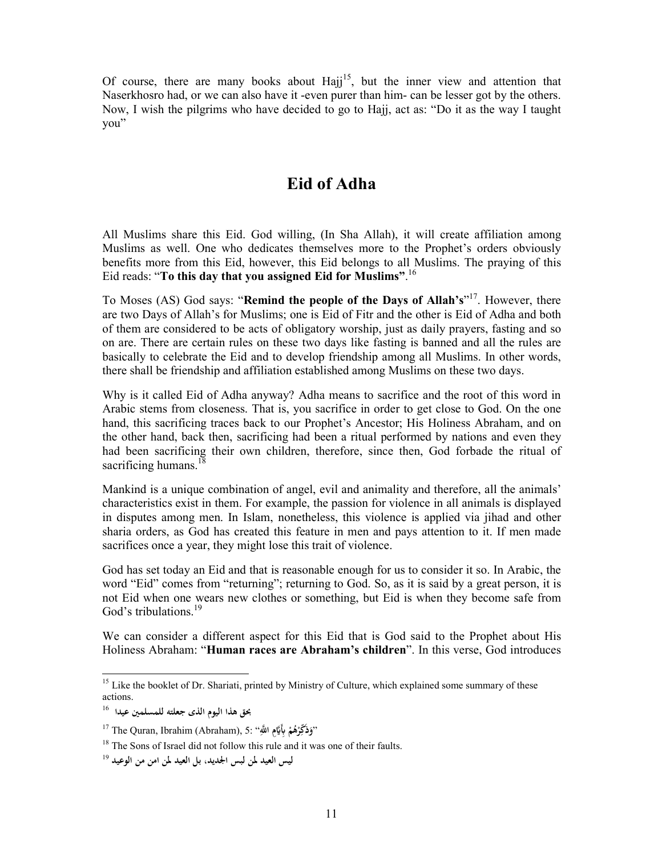Of course, there are many books about Hajj<sup>15</sup>, but the inner view and attention that Naserkhosro had, or we can also have it -even purer than him- can be lesser got by the others. Now, I wish the pilgrims who have decided to go to Hajj, act as: "Do it as the way I taught you"

## **Eid of Adha**

All Muslims share this Eid. God willing, (In Sha Allah), it will create affiliation among Muslims as well. One who dedicates themselves more to the Prophet's orders obviously benefits more from this Eid, however, this Eid belongs to all Muslims. The praying of this Eid reads: "**To this day that you assigned Eid for Muslims"**. 16

To Moses (AS) God says: "**Remind the people of the Days of Allah's**" 17 . However, there are two Days of Allah's for Muslims; one is Eid of Fitr and the other is Eid of Adha and both of them are considered to be acts of obligatory worship, just as daily prayers, fasting and so on are. There are certain rules on these two days like fasting is banned and all the rules are basically to celebrate the Eid and to develop friendship among all Muslims. In other words, there shall be friendship and affiliation established among Muslims on these two days.

Why is it called Eid of Adha anyway? Adha means to sacrifice and the root of this word in Arabic stems from closeness. That is, you sacrifice in order to get close to God. On the one hand, this sacrificing traces back to our Prophet's Ancestor; His Holiness Abraham, and on the other hand, back then, sacrificing had been a ritual performed by nations and even they had been sacrificing their own children, therefore, since then, God forbade the ritual of sacrificing humans.<sup>18</sup>

Mankind is a unique combination of angel, evil and animality and therefore, all the animals' characteristics exist in them. For example, the passion for violence in all animals is displayed in disputes among men. In Islam, nonetheless, this violence is applied via jihad and other sharia orders, as God has created this feature in men and pays attention to it. If men made sacrifices once a year, they might lose this trait of violence.

God has set today an Eid and that is reasonable enough for us to consider it so. In Arabic, the word "Eid" comes from "returning"; returning to God. So, as it is said by a great person, it is not Eid when one wears new clothes or something, but Eid is when they become safe from God's tribulations.<sup>19</sup>

We can consider a different aspect for this Eid that is God said to the Prophet about His Holiness Abraham: "**Human races are Abraham's children**". In this verse, God introduces

<sup>&</sup>lt;sup>15</sup> Like the booklet of Dr. Shariati, printed by Ministry of Culture, which explained some summary of these actions.

**بحق هذا اليوم الذی جعلته للمسلمين عيدا** <sup>16</sup>

<sup>17</sup> The Quran, Ibrahim (Abraham), 5: "**َِّ ا ََِّمِ ُم ه ر ذَّكِ** "**و ْ ْ َ**

<sup>&</sup>lt;sup>18</sup> The Sons of Israel did not follow this rule and it was one of their faults.

**ليس العيد لمن لبس الجديد، بل العيد لمن امن من الوعيد** <sup>19</sup>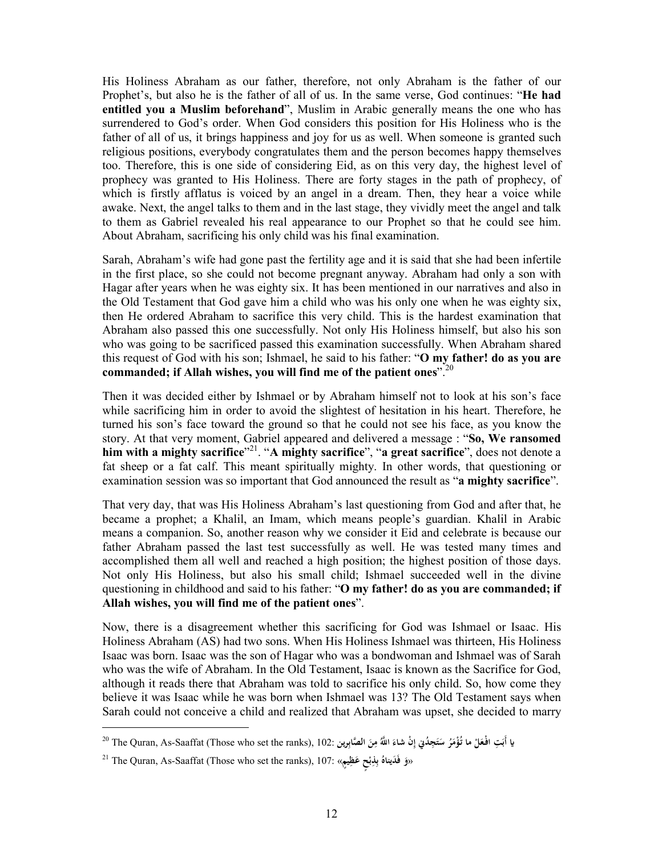His Holiness Abraham as our father, therefore, not only Abraham is the father of our Prophet's, but also he is the father of all of us. In the same verse, God continues: "**He had entitled you a Muslim beforehand**", Muslim in Arabic generally means the one who has surrendered to God's order. When God considers this position for His Holiness who is the father of all of us, it brings happiness and joy for us as well. When someone is granted such religious positions, everybody congratulates them and the person becomes happy themselves too. Therefore, this is one side of considering Eid, as on this very day, the highest level of prophecy was granted to His Holiness. There are forty stages in the path of prophecy, of which is firstly afflatus is voiced by an angel in a dream. Then, they hear a voice while awake. Next, the angel talks to them and in the last stage, they vividly meet the angel and talk to them as Gabriel revealed his real appearance to our Prophet so that he could see him. About Abraham, sacrificing his only child was his final examination.

Sarah, Abraham's wife had gone past the fertility age and it is said that she had been infertile in the first place, so she could not become pregnant anyway. Abraham had only a son with Hagar after years when he was eighty six. It has been mentioned in our narratives and also in the Old Testament that God gave him a child who was his only one when he was eighty six, then He ordered Abraham to sacrifice this very child. This is the hardest examination that Abraham also passed this one successfully. Not only His Holiness himself, but also his son who was going to be sacrificed passed this examination successfully. When Abraham shared this request of God with his son; Ishmael, he said to his father: "**O my father! do as you are commanded; if Allah wishes, you will find me of the patient ones**".<sup>20</sup>

Then it was decided either by Ishmael or by Abraham himself not to look at his son's face while sacrificing him in order to avoid the slightest of hesitation in his heart. Therefore, he turned his son's face toward the ground so that he could not see his face, as you know the story. At that very moment, Gabriel appeared and delivered a message : "**So, We ransomed him with a mighty sacrifice**" 21 . "**A mighty sacrifice**", "**a great sacrifice**", does not denote a fat sheep or a fat calf. This meant spiritually mighty. In other words, that questioning or examination session was so important that God announced the result as "**a mighty sacrifice**".

That very day, that was His Holiness Abraham's last questioning from God and after that, he became a prophet; a Khalil, an Imam, which means people's guardian. Khalil in Arabic means a companion. So, another reason why we consider it Eid and celebrate is because our father Abraham passed the last test successfully as well. He was tested many times and accomplished them all well and reached a high position; the highest position of those days. Not only His Holiness, but also his small child; Ishmael succeeded well in the divine questioning in childhood and said to his father: "**O my father! do as you are commanded; if Allah wishes, you will find me of the patient ones**".

Now, there is a disagreement whether this sacrificing for God was Ishmael or Isaac. His Holiness Abraham (AS) had two sons. When His Holiness Ishmael was thirteen, His Holiness Isaac was born. Isaac was the son of Hagar who was a bondwoman and Ishmael was of Sarah who was the wife of Abraham. In the Old Testament, Isaac is known as the Sacrifice for God, although it reads there that Abraham was told to sacrifice his only child. So, how come they believe it was Isaac while he was born when Ishmael was 13? The Old Testament says when Sarah could not conceive a child and realized that Abraham was upset, she decided to marry

يا أَبَتِ افْعَلْ ما تُؤْمَرُ سَتَجِدُنٍ إِنْ شاءَ اللَّهُ مِنَ الصَّابِرِين :102 The Quran, As-Saaffat (Those who set the ranks), 102 **ْ َ َ ِ َ ِ َ َ َ**

<sup>21</sup> The Quran, As-Saaffat (Those who set the ranks), 107: « **دَ فَ ُ و ي َظِ ناه ٍح ع ِذِ** « **ٍم ب يَ ْ ب**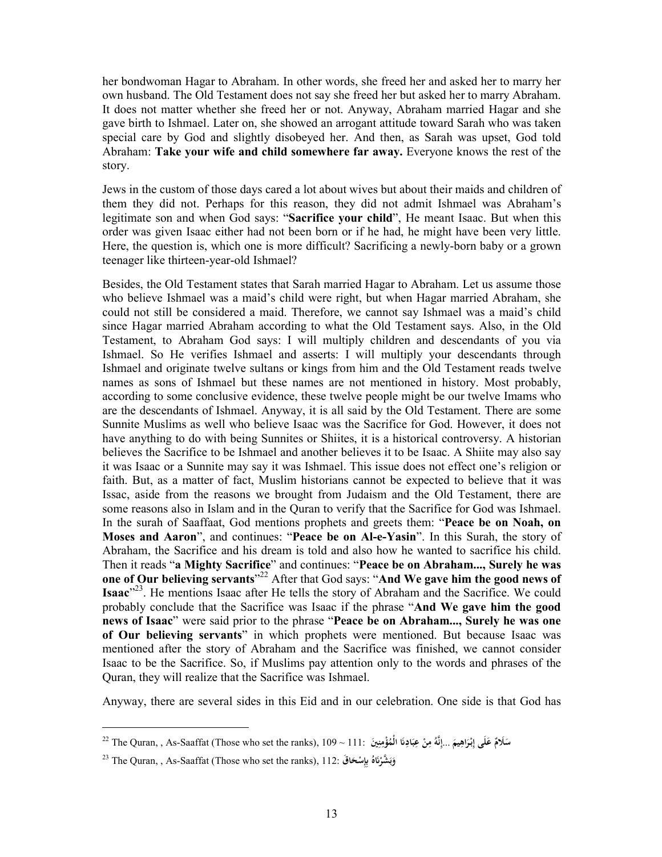her bondwoman Hagar to Abraham. In other words, she freed her and asked her to marry her own husband. The Old Testament does not say she freed her but asked her to marry Abraham. It does not matter whether she freed her or not. Anyway, Abraham married Hagar and she gave birth to Ishmael. Later on, she showed an arrogant attitude toward Sarah who was taken special care by God and slightly disobeyed her. And then, as Sarah was upset, God told Abraham: **Take your wife and child somewhere far away.** Everyone knows the rest of the story.

Jews in the custom of those days cared a lot about wives but about their maids and children of them they did not. Perhaps for this reason, they did not admit Ishmael was Abraham's legitimate son and when God says: "**Sacrifice your child**", He meant Isaac. But when this order was given Isaac either had not been born or if he had, he might have been very little. Here, the question is, which one is more difficult? Sacrificing a newly-born baby or a grown teenager like thirteen-year-old Ishmael?

Besides, the Old Testament states that Sarah married Hagar to Abraham. Let us assume those who believe Ishmael was a maid's child were right, but when Hagar married Abraham, she could not still be considered a maid. Therefore, we cannot say Ishmael was a maid's child since Hagar married Abraham according to what the Old Testament says. Also, in the Old Testament, to Abraham God says: I will multiply children and descendants of you via Ishmael. So He verifies Ishmael and asserts: I will multiply your descendants through Ishmael and originate twelve sultans or kings from him and the Old Testament reads twelve names as sons of Ishmael but these names are not mentioned in history. Most probably, according to some conclusive evidence, these twelve people might be our twelve Imams who are the descendants of Ishmael. Anyway, it is all said by the Old Testament. There are some Sunnite Muslims as well who believe Isaac was the Sacrifice for God. However, it does not have anything to do with being Sunnites or Shiites, it is a historical controversy. A historian believes the Sacrifice to be Ishmael and another believes it to be Isaac. A Shiite may also say it was Isaac or a Sunnite may say it was Ishmael. This issue does not effect one's religion or faith. But, as a matter of fact, Muslim historians cannot be expected to believe that it was Issac, aside from the reasons we brought from Judaism and the Old Testament, there are some reasons also in Islam and in the Quran to verify that the Sacrifice for God was Ishmael. In the surah of Saaffaat, God mentions prophets and greets them: "**Peace be on Noah, on Moses and Aaron**", and continues: "**Peace be on Al-e-Yasin**". In this Surah, the story of Abraham, the Sacrifice and his dream is told and also how he wanted to sacrifice his child. Then it reads "**a Mighty Sacrifice**" and continues: "**Peace be on Abraham..., Surely he was one of Our believing servants**" <sup>22</sup> After that God says: "**And We gave him the good news of Isaac**" 23 . He mentions Isaac after He tells the story of Abraham and the Sacrifice. We could probably conclude that the Sacrifice was Isaac if the phrase "**And We gave him the good news of Isaac**" were said prior to the phrase "**Peace be on Abraham..., Surely he was one of Our believing servants**" in which prophets were mentioned. But because Isaac was mentioned after the story of Abraham and the Sacrifice was finished, we cannot consider Isaac to be the Sacrifice. So, if Muslims pay attention only to the words and phrases of the Quran, they will realize that the Sacrifice was Ishmael.

Anyway, there are several sides in this Eid and in our celebration. One side is that God has

l

سَلَامٌ عَلَى إِبْرَاهِيمَ ...إِنَّهُ مِنْ عِبَادِنَا الْمُؤْمِنِينَ :111 < 22 The Quran, , As-Saaffat (Those who set the ranks), 109  $\sim$  111 **ِ ِ َ َ ِ ِ َ َ َ َ**

<sup>23</sup> The Quran, , As-Saaffat (Those who set the ranks), 112: **قَ ا ْح ِِس ُ َه َّشر وَ ْ َ ب َ**